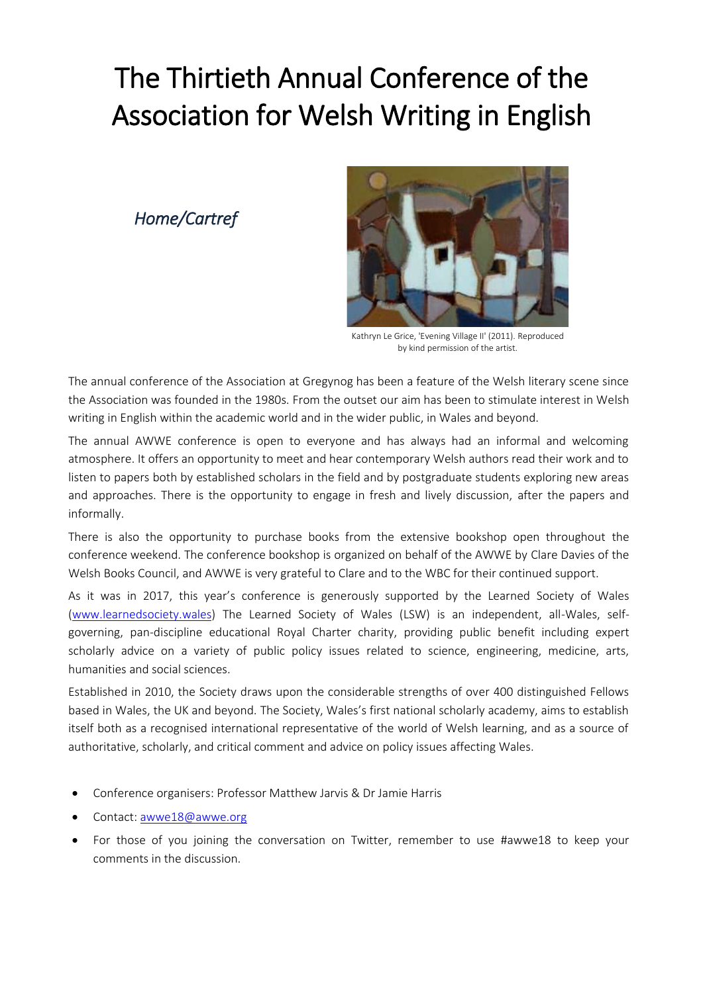# The Thirtieth Annual Conference of the Association for Welsh Writing in English

*Home/Cartref*



Kathryn Le Grice, 'Evening Village II' (2011). Reproduced by kind permission of the artist.

The annual conference of the Association at Gregynog has been a feature of the Welsh literary scene since the Association was founded in the 1980s. From the outset our aim has been to stimulate interest in Welsh writing in English within the academic world and in the wider public, in Wales and beyond.

The annual AWWE conference is open to everyone and has always had an informal and welcoming atmosphere. It offers an opportunity to meet and hear contemporary Welsh authors read their work and to listen to papers both by established scholars in the field and by postgraduate students exploring new areas and approaches. There is the opportunity to engage in fresh and lively discussion, after the papers and informally.

There is also the opportunity to purchase books from the extensive bookshop open throughout the conference weekend. The conference bookshop is organized on behalf of the AWWE by Clare Davies of the Welsh Books Council, and AWWE is very grateful to Clare and to the WBC for their continued support.

As it was in 2017, this year's conference is generously supported by the Learned Society of Wales [\(www.learnedsociety.wales\)](http://www.learnedsociety.wales/) The Learned Society of Wales (LSW) is an independent, all-Wales, selfgoverning, pan-discipline educational Royal Charter charity, providing public benefit including expert scholarly advice on a variety of public policy issues related to science, engineering, medicine, arts, humanities and social sciences.

Established in 2010, the Society draws upon the considerable strengths of over 400 distinguished Fellows based in Wales, the UK and beyond. The Society, Wales's first national scholarly academy, aims to establish itself both as a recognised international representative of the world of Welsh learning, and as a source of authoritative, scholarly, and critical comment and advice on policy issues affecting Wales.

- Conference organisers: Professor Matthew Jarvis & Dr Jamie Harris
- Contact[: awwe18@awwe.org](mailto:awwe18@awwe.org)
- For those of you joining the conversation on Twitter, remember to use #awwe18 to keep your comments in the discussion.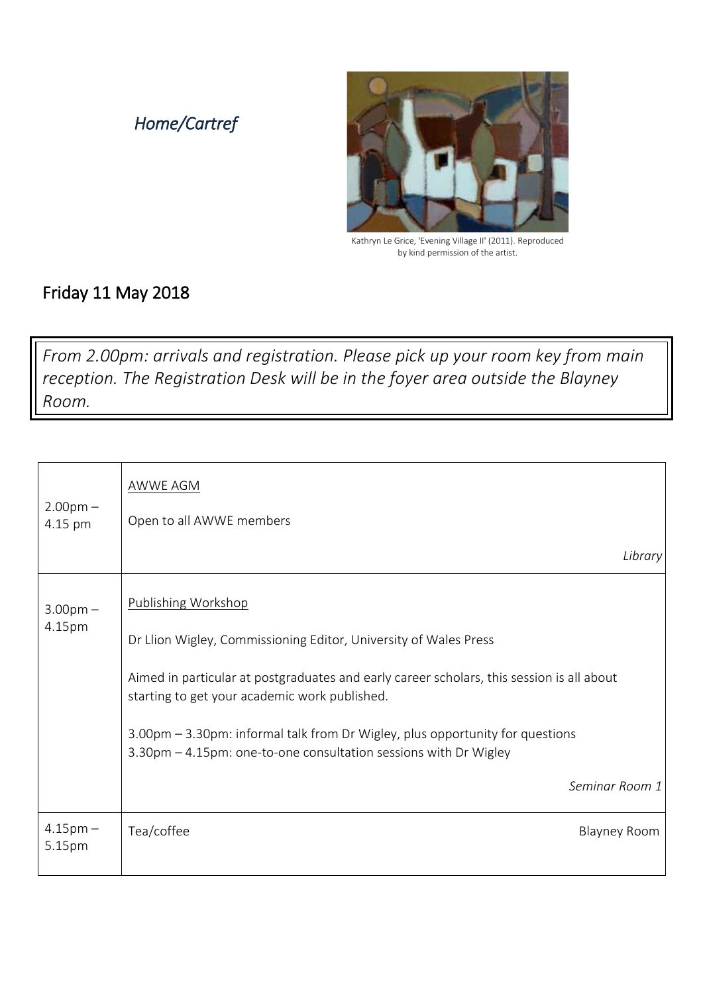### *Home/Cartref*



Kathryn Le Grice, 'Evening Village II' (2011). Reproduced by kind permission of the artist.

#### Friday 11 May 2018

*From 2.00pm: arrivals and registration. Please pick up your room key from main reception. The Registration Desk will be in the foyer area outside the Blayney Room.*

| $2.00$ pm $-$           | AWWE AGM                                                                                                                                          |
|-------------------------|---------------------------------------------------------------------------------------------------------------------------------------------------|
| 4.15 pm                 | Open to all AWWE members                                                                                                                          |
|                         | Library                                                                                                                                           |
| $3.00$ pm $-$<br>4.15pm | Publishing Workshop                                                                                                                               |
|                         | Dr Llion Wigley, Commissioning Editor, University of Wales Press                                                                                  |
|                         | Aimed in particular at postgraduates and early career scholars, this session is all about<br>starting to get your academic work published.        |
|                         | 3.00pm - 3.30pm: informal talk from Dr Wigley, plus opportunity for questions<br>3.30pm - 4.15pm: one-to-one consultation sessions with Dr Wigley |
|                         | Seminar Room 1                                                                                                                                    |
| $4.15$ pm $-$<br>5.15pm | Tea/coffee<br><b>Blayney Room</b>                                                                                                                 |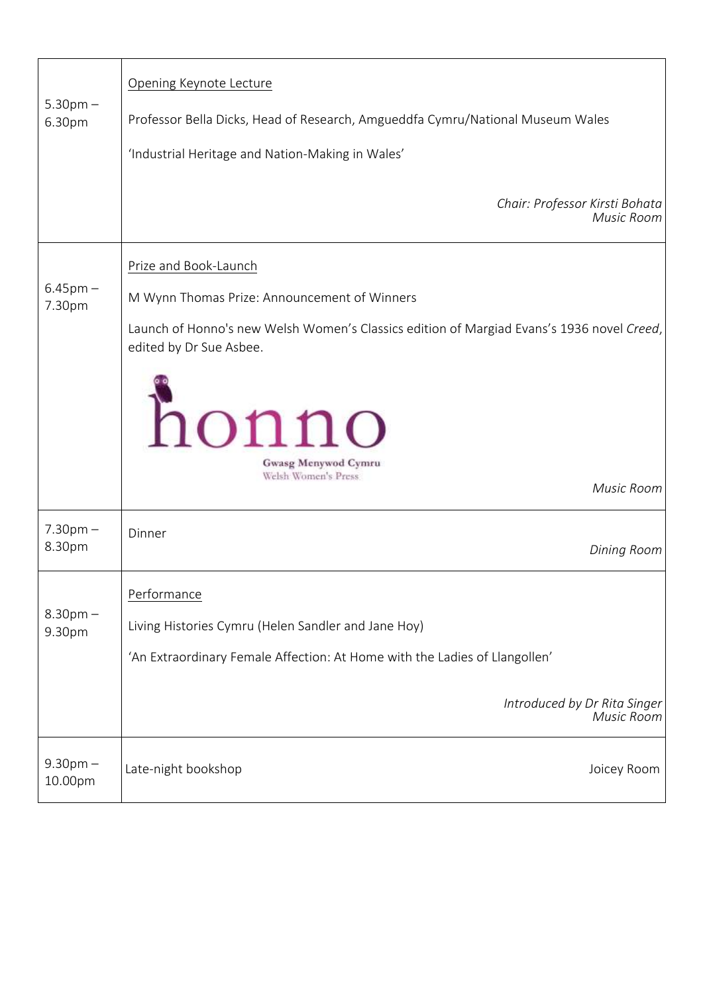| $5.30pm -$<br>6.30pm    | Opening Keynote Lecture<br>Professor Bella Dicks, Head of Research, Amgueddfa Cymru/National Museum Wales<br>'Industrial Heritage and Nation-Making in Wales'                                                                                                      |
|-------------------------|--------------------------------------------------------------------------------------------------------------------------------------------------------------------------------------------------------------------------------------------------------------------|
|                         | Chair: Professor Kirsti Bohata<br>Music Room                                                                                                                                                                                                                       |
| $6.45$ pm $-$<br>7.30pm | Prize and Book-Launch<br>M Wynn Thomas Prize: Announcement of Winners<br>Launch of Honno's new Welsh Women's Classics edition of Margiad Evans's 1936 novel Creed,<br>edited by Dr Sue Asbee.<br>honno<br>Gwasg Menywod Cymru<br>Welsh Women's Press<br>Music Room |
| $7.30pm -$<br>8.30pm    | Dinner<br><b>Dining Room</b>                                                                                                                                                                                                                                       |
| $8.30$ pm $-$<br>9.30pm | <u>Performance</u><br>Living Histories Cymru (Helen Sandler and Jane Hoy)<br>'An Extraordinary Female Affection: At Home with the Ladies of Llangollen'<br>Introduced by Dr Rita Singer<br>Music Room                                                              |
| $9.30pm -$<br>10.00pm   | Late-night bookshop<br>Joicey Room                                                                                                                                                                                                                                 |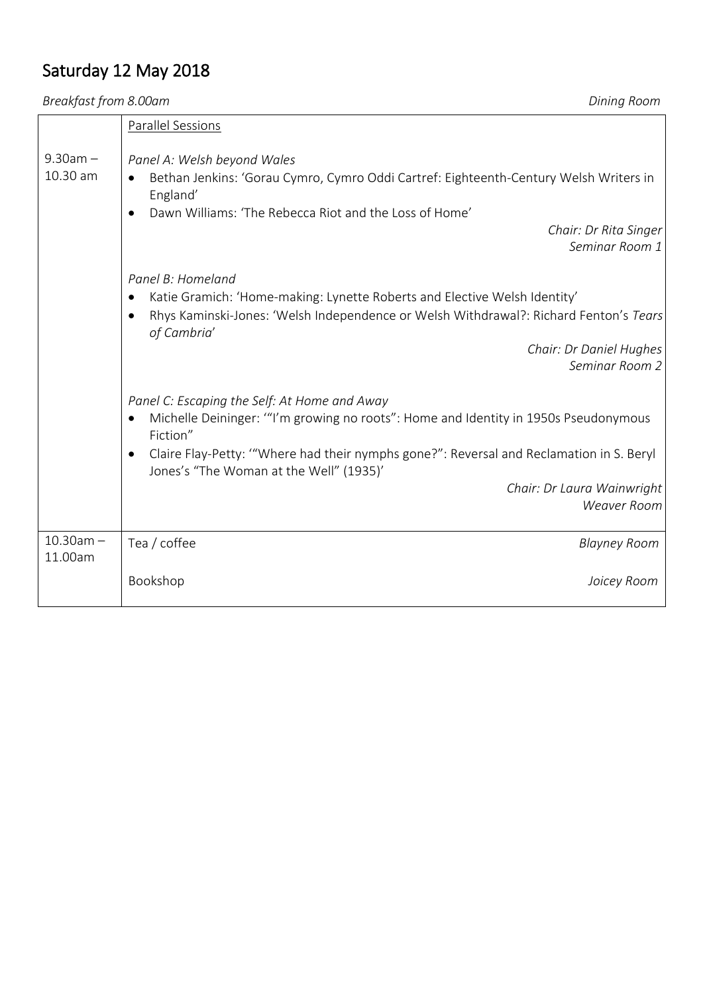## Saturday 12 May 2018

*Breakfast from 8.00am Dining Room*

|                           | Parallel Sessions                                                                                                                                                                                                                                                                                                                  |
|---------------------------|------------------------------------------------------------------------------------------------------------------------------------------------------------------------------------------------------------------------------------------------------------------------------------------------------------------------------------|
| $9.30$ am $-$<br>10.30 am | Panel A: Welsh beyond Wales<br>Bethan Jenkins: 'Gorau Cymro, Cymro Oddi Cartref: Eighteenth-Century Welsh Writers in<br>England'<br>Dawn Williams: 'The Rebecca Riot and the Loss of Home'<br>Chair: Dr Rita Singer<br>Seminar Room 1                                                                                              |
|                           | Panel B: Homeland<br>Katie Gramich: 'Home-making: Lynette Roberts and Elective Welsh Identity'<br>Rhys Kaminski-Jones: 'Welsh Independence or Welsh Withdrawal?: Richard Fenton's Tears<br>of Cambria'<br>Chair: Dr Daniel Hughes<br>Seminar Room 2                                                                                |
|                           | Panel C: Escaping the Self: At Home and Away<br>Michelle Deininger: "I'm growing no roots": Home and Identity in 1950s Pseudonymous<br>Fiction"<br>Claire Flay-Petty: "Where had their nymphs gone?": Reversal and Reclamation in S. Beryl<br>Jones's "The Woman at the Well" (1935)'<br>Chair: Dr Laura Wainwright<br>Weaver Room |
| $10.30$ am $-$            | Tea / coffee<br><b>Blayney Room</b>                                                                                                                                                                                                                                                                                                |
| 11.00am                   | Bookshop<br>Joicey Room                                                                                                                                                                                                                                                                                                            |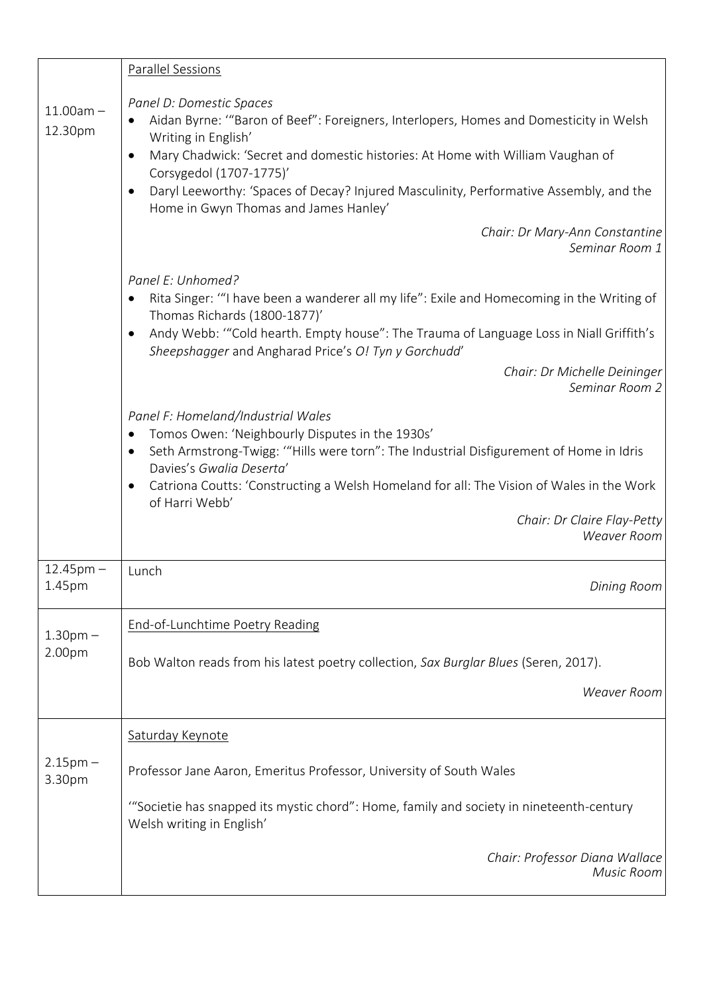|                          | <b>Parallel Sessions</b>                                                                                                                                                                                                                                                                                                                                      |
|--------------------------|---------------------------------------------------------------------------------------------------------------------------------------------------------------------------------------------------------------------------------------------------------------------------------------------------------------------------------------------------------------|
| $11.00am -$<br>12.30pm   | Panel D: Domestic Spaces<br>Aidan Byrne: "Baron of Beef": Foreigners, Interlopers, Homes and Domesticity in Welsh<br>Writing in English'<br>Mary Chadwick: 'Secret and domestic histories: At Home with William Vaughan of<br>Corsygedol (1707-1775)'<br>Daryl Leeworthy: 'Spaces of Decay? Injured Masculinity, Performative Assembly, and the               |
|                          | Home in Gwyn Thomas and James Hanley'<br>Chair: Dr Mary-Ann Constantine<br>Seminar Room 1                                                                                                                                                                                                                                                                     |
|                          | Panel E: Unhomed?<br>Rita Singer: "I have been a wanderer all my life": Exile and Homecoming in the Writing of<br>Thomas Richards (1800-1877)'                                                                                                                                                                                                                |
|                          | Andy Webb: "Cold hearth. Empty house": The Trauma of Language Loss in Niall Griffith's<br>Sheepshagger and Angharad Price's O! Tyn y Gorchudd'                                                                                                                                                                                                                |
|                          | Chair: Dr Michelle Deininger<br>Seminar Room 2                                                                                                                                                                                                                                                                                                                |
|                          | Panel F: Homeland/Industrial Wales<br>Tomos Owen: 'Neighbourly Disputes in the 1930s'<br>Seth Armstrong-Twigg: "Hills were torn": The Industrial Disfigurement of Home in Idris<br>٠<br>Davies's Gwalia Deserta'<br>Catriona Coutts: 'Constructing a Welsh Homeland for all: The Vision of Wales in the Work<br>of Harri Webb'<br>Chair: Dr Claire Flay-Petty |
|                          | <b>Weaver Room</b>                                                                                                                                                                                                                                                                                                                                            |
| $12.45$ pm $-$<br>1.45pm | Lunch<br>Dining Room                                                                                                                                                                                                                                                                                                                                          |
| 1.30 <sub>pm</sub>       | End-of-Lunchtime Poetry Reading                                                                                                                                                                                                                                                                                                                               |
| 2.00pm                   | Bob Walton reads from his latest poetry collection, Sax Burglar Blues (Seren, 2017).                                                                                                                                                                                                                                                                          |
|                          | <b>Weaver Room</b>                                                                                                                                                                                                                                                                                                                                            |
| $2.15pm -$<br>3.30pm     | Saturday Keynote                                                                                                                                                                                                                                                                                                                                              |
|                          | Professor Jane Aaron, Emeritus Professor, University of South Wales                                                                                                                                                                                                                                                                                           |
|                          | "Societie has snapped its mystic chord": Home, family and society in nineteenth-century<br>Welsh writing in English'                                                                                                                                                                                                                                          |
|                          | Chair: Professor Diana Wallace<br>Music Room                                                                                                                                                                                                                                                                                                                  |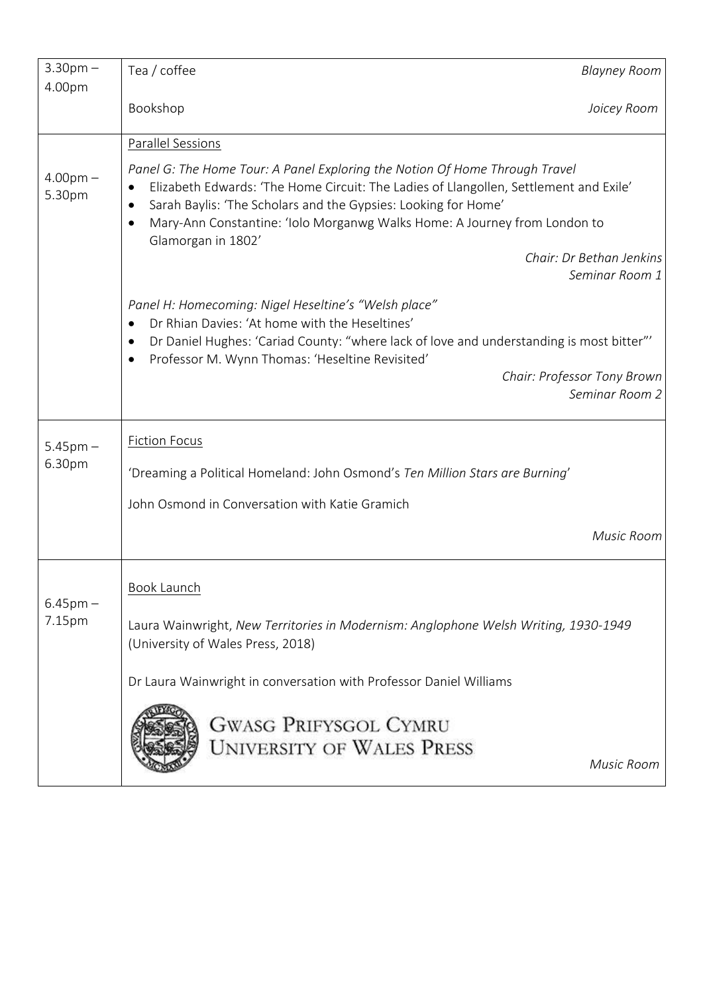| $3.30$ pm $-$           | Tea / coffee                                                                                                                                                                                                                                                                                                                                                          | <b>Blayney Room</b> |
|-------------------------|-----------------------------------------------------------------------------------------------------------------------------------------------------------------------------------------------------------------------------------------------------------------------------------------------------------------------------------------------------------------------|---------------------|
| 4.00pm                  | Bookshop                                                                                                                                                                                                                                                                                                                                                              | Joicey Room         |
|                         |                                                                                                                                                                                                                                                                                                                                                                       |                     |
|                         | Parallel Sessions                                                                                                                                                                                                                                                                                                                                                     |                     |
| $4.00pm -$<br>5.30pm    | Panel G: The Home Tour: A Panel Exploring the Notion Of Home Through Travel<br>Elizabeth Edwards: 'The Home Circuit: The Ladies of Llangollen, Settlement and Exile'<br>Sarah Baylis: 'The Scholars and the Gypsies: Looking for Home'<br>Mary-Ann Constantine: 'Iolo Morganwg Walks Home: A Journey from London to<br>Glamorgan in 1802'<br>Chair: Dr Bethan Jenkins |                     |
|                         |                                                                                                                                                                                                                                                                                                                                                                       | Seminar Room 1      |
|                         | Panel H: Homecoming: Nigel Heseltine's "Welsh place"<br>Dr Rhian Davies: 'At home with the Heseltines'<br>Dr Daniel Hughes: 'Cariad County: "where lack of love and understanding is most bitter"'<br>$\bullet$<br>Professor M. Wynn Thomas: 'Heseltine Revisited'<br>$\bullet$<br>Chair: Professor Tony Brown                                                        | Seminar Room 2      |
|                         | <b>Fiction Focus</b>                                                                                                                                                                                                                                                                                                                                                  |                     |
| $5.45$ pm $-$<br>6.30pm | 'Dreaming a Political Homeland: John Osmond's Ten Million Stars are Burning'                                                                                                                                                                                                                                                                                          |                     |
|                         | John Osmond in Conversation with Katie Gramich                                                                                                                                                                                                                                                                                                                        |                     |
|                         |                                                                                                                                                                                                                                                                                                                                                                       | Music Room          |
| $6.45$ pm $-$<br>7.15pm | <b>Book Launch</b>                                                                                                                                                                                                                                                                                                                                                    |                     |
|                         | Laura Wainwright, New Territories in Modernism: Anglophone Welsh Writing, 1930-1949<br>(University of Wales Press, 2018)                                                                                                                                                                                                                                              |                     |
|                         | Dr Laura Wainwright in conversation with Professor Daniel Williams                                                                                                                                                                                                                                                                                                    |                     |
|                         | <b>GWASG PRIFYSGOL CYMRU</b><br><b>UNIVERSITY OF WALES PRESS</b>                                                                                                                                                                                                                                                                                                      | Music Room          |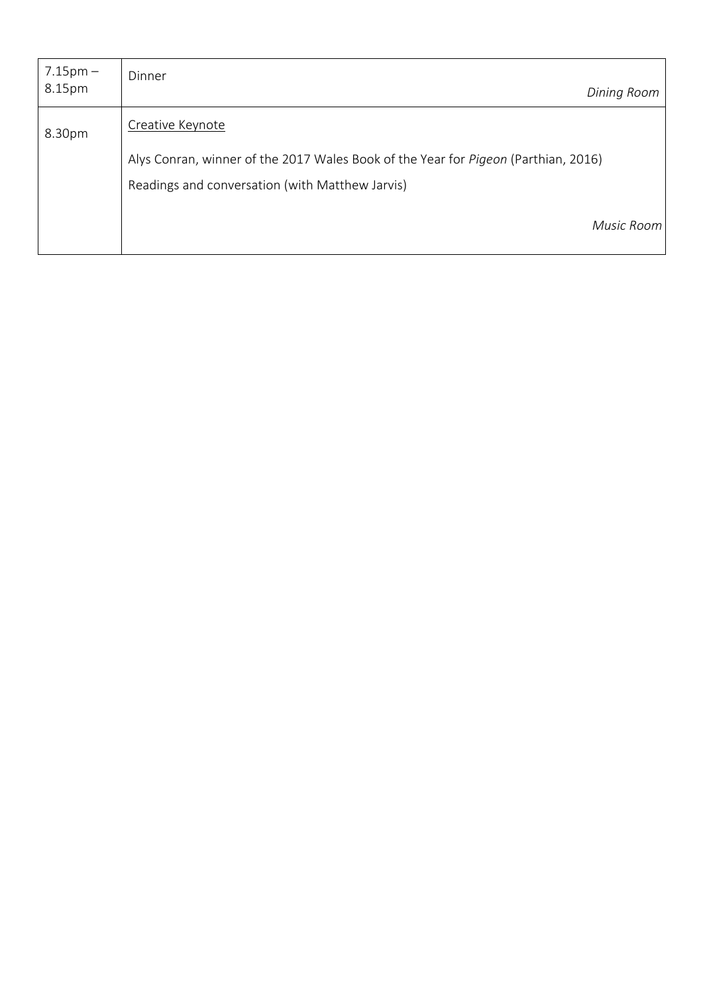| $7.15 \text{pm} -$<br>8.15pm | Dinner<br>Dining Room                                                              |
|------------------------------|------------------------------------------------------------------------------------|
| 8.30pm                       | Creative Keynote                                                                   |
|                              | Alys Conran, winner of the 2017 Wales Book of the Year for Pigeon (Parthian, 2016) |
|                              | Readings and conversation (with Matthew Jarvis)                                    |
|                              | Music Room                                                                         |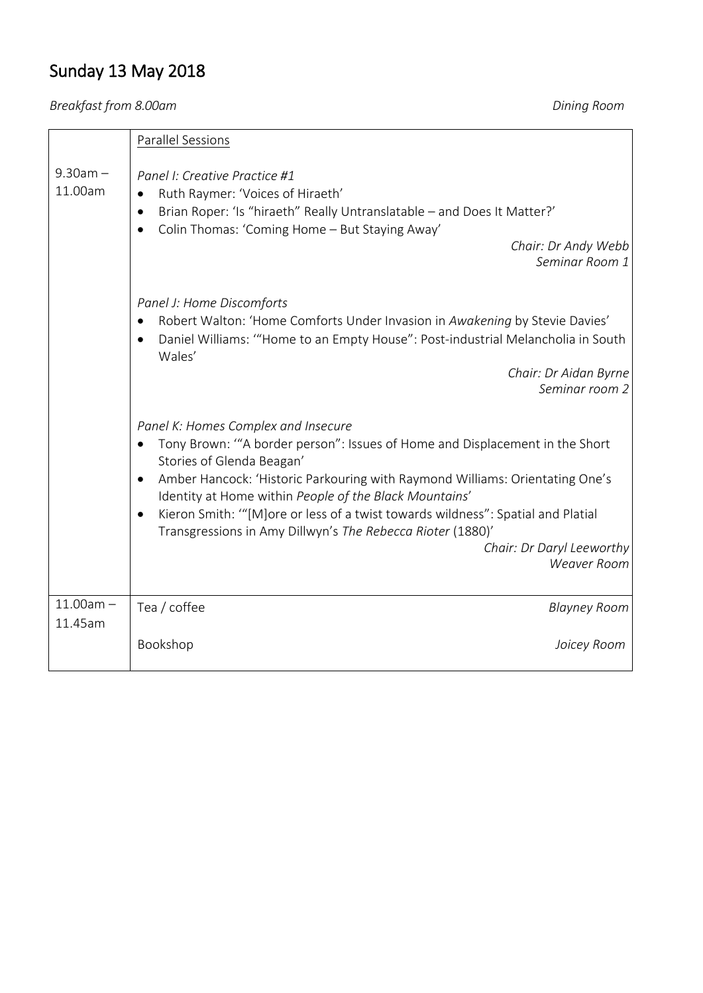# Sunday 13 May 2018

*Breakfast from 8.00am Dining Room*

|                        | Parallel Sessions                                                                                                                                                                                                                                                                                                                                                                                                                                                                                    |
|------------------------|------------------------------------------------------------------------------------------------------------------------------------------------------------------------------------------------------------------------------------------------------------------------------------------------------------------------------------------------------------------------------------------------------------------------------------------------------------------------------------------------------|
| $9.30am -$<br>11.00am  | Panel I: Creative Practice #1<br>Ruth Raymer: 'Voices of Hiraeth'<br>Brian Roper: 'Is "hiraeth" Really Untranslatable - and Does It Matter?'<br>Colin Thomas: 'Coming Home - But Staying Away'<br>$\bullet$<br>Chair: Dr Andy Webb<br>Seminar Room 1                                                                                                                                                                                                                                                 |
|                        | Panel J: Home Discomforts<br>Robert Walton: 'Home Comforts Under Invasion in Awakening by Stevie Davies'<br>Daniel Williams: "Home to an Empty House": Post-industrial Melancholia in South<br>Wales'<br>Chair: Dr Aidan Byrne<br>Seminar room 2                                                                                                                                                                                                                                                     |
|                        | Panel K: Homes Complex and Insecure<br>Tony Brown: "A border person": Issues of Home and Displacement in the Short<br>Stories of Glenda Beagan'<br>Amber Hancock: 'Historic Parkouring with Raymond Williams: Orientating One's<br>$\bullet$<br>Identity at Home within People of the Black Mountains'<br>Kieron Smith: "[M] ore or less of a twist towards wildness": Spatial and Platial<br>Transgressions in Amy Dillwyn's The Rebecca Rioter (1880)'<br>Chair: Dr Daryl Leeworthy<br>Weaver Room |
| $11.00am -$<br>11.45am | Tea / coffee<br><b>Blayney Room</b>                                                                                                                                                                                                                                                                                                                                                                                                                                                                  |
|                        | Bookshop<br>Joicey Room                                                                                                                                                                                                                                                                                                                                                                                                                                                                              |